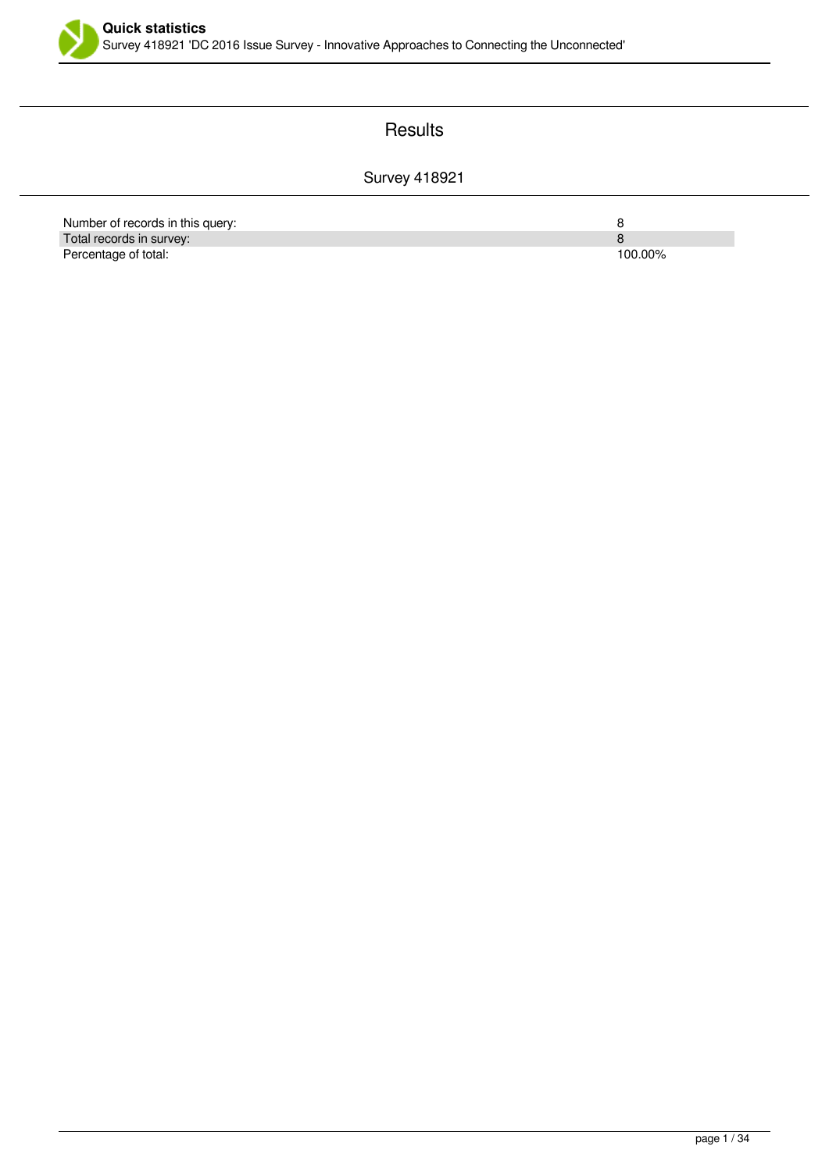

### **Results**

#### Survey 418921

| Number of records in this query: |         |
|----------------------------------|---------|
| Total records in survey:         |         |
| Percentage of total:             | 100.00% |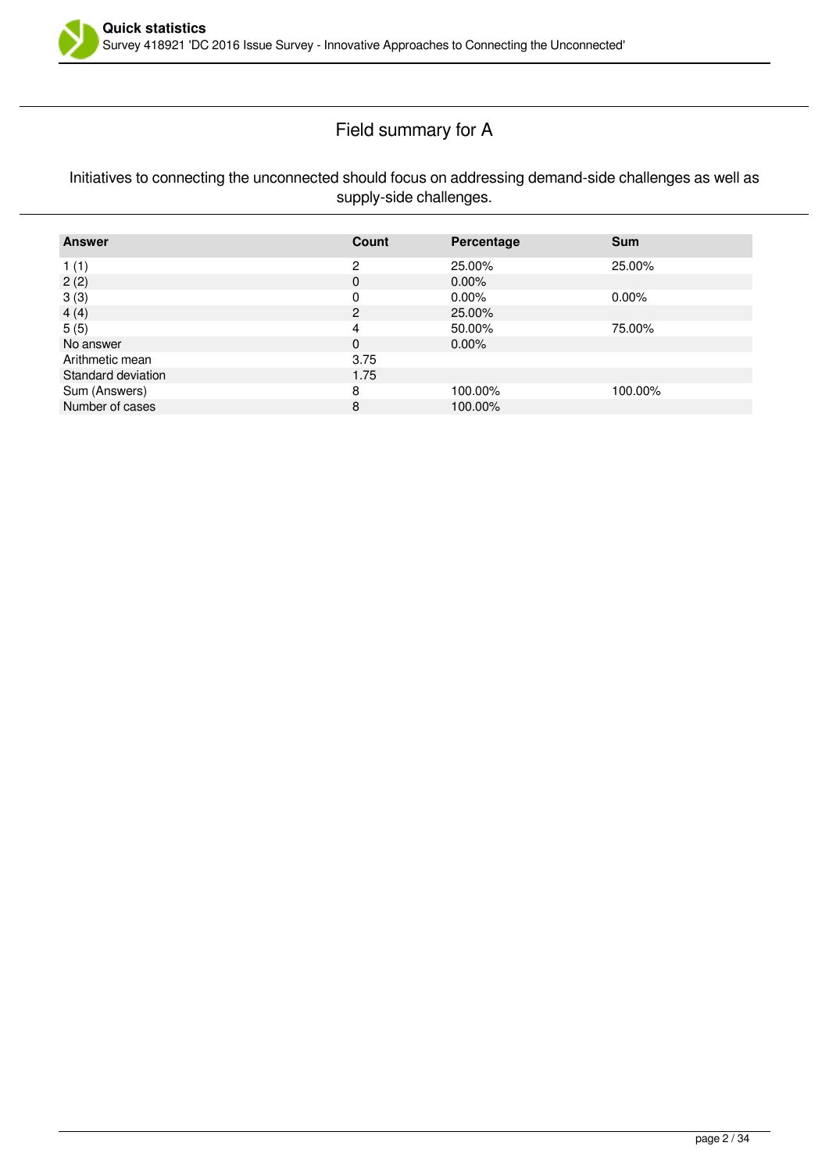

# Field summary for A

#### Initiatives to connecting the unconnected should focus on addressing demand-side challenges as well as supply-side challenges.

| <b>Answer</b>      | Count | Percentage | <b>Sum</b> |
|--------------------|-------|------------|------------|
| 1(1)               | 2     | 25.00%     | 25.00%     |
| 2(2)               | 0     | $0.00\%$   |            |
| 3(3)               | O     | $0.00\%$   | $0.00\%$   |
| 4(4)               | 2     | 25.00%     |            |
| 5(5)               | 4     | 50.00%     | 75.00%     |
| No answer          | 0     | $0.00\%$   |            |
| Arithmetic mean    | 3.75  |            |            |
| Standard deviation | 1.75  |            |            |
| Sum (Answers)      | 8     | 100.00%    | 100.00%    |
| Number of cases    | 8     | 100.00%    |            |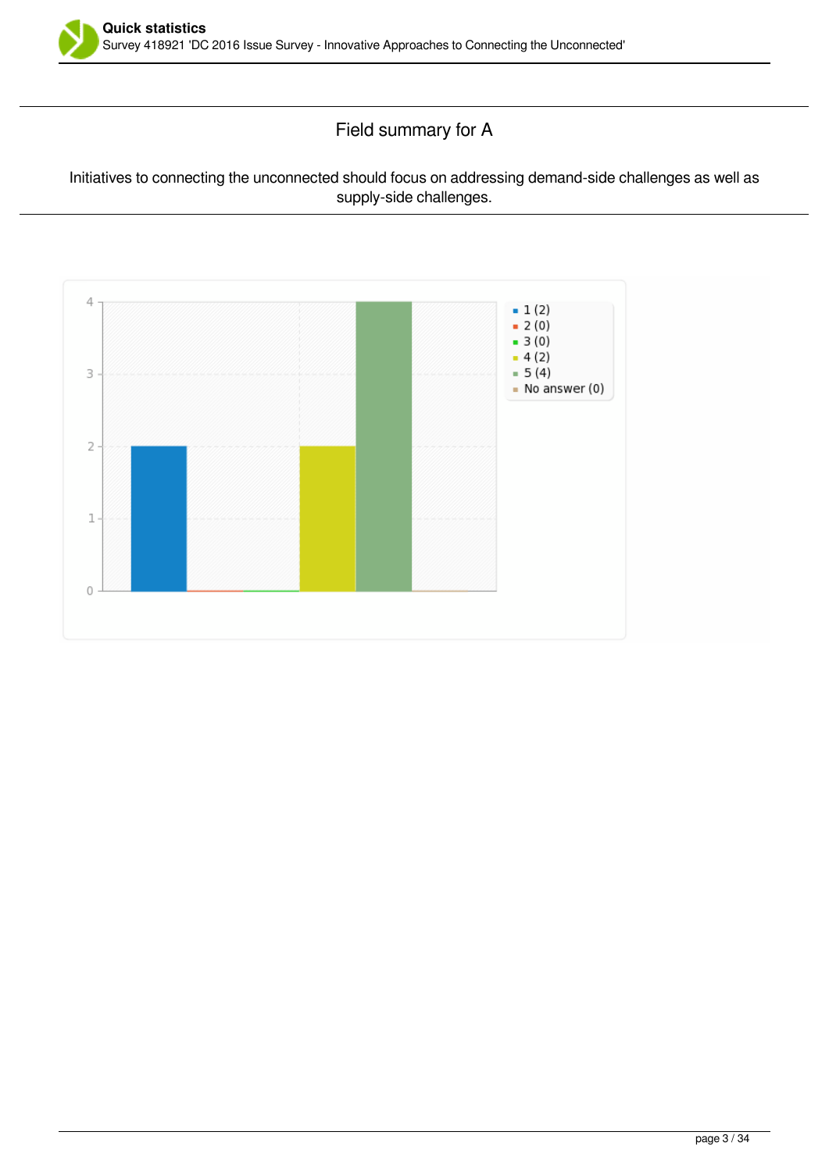

Field summary for A

#### Initiatives to connecting the unconnected should focus on addressing demand-side challenges as well as supply-side challenges.

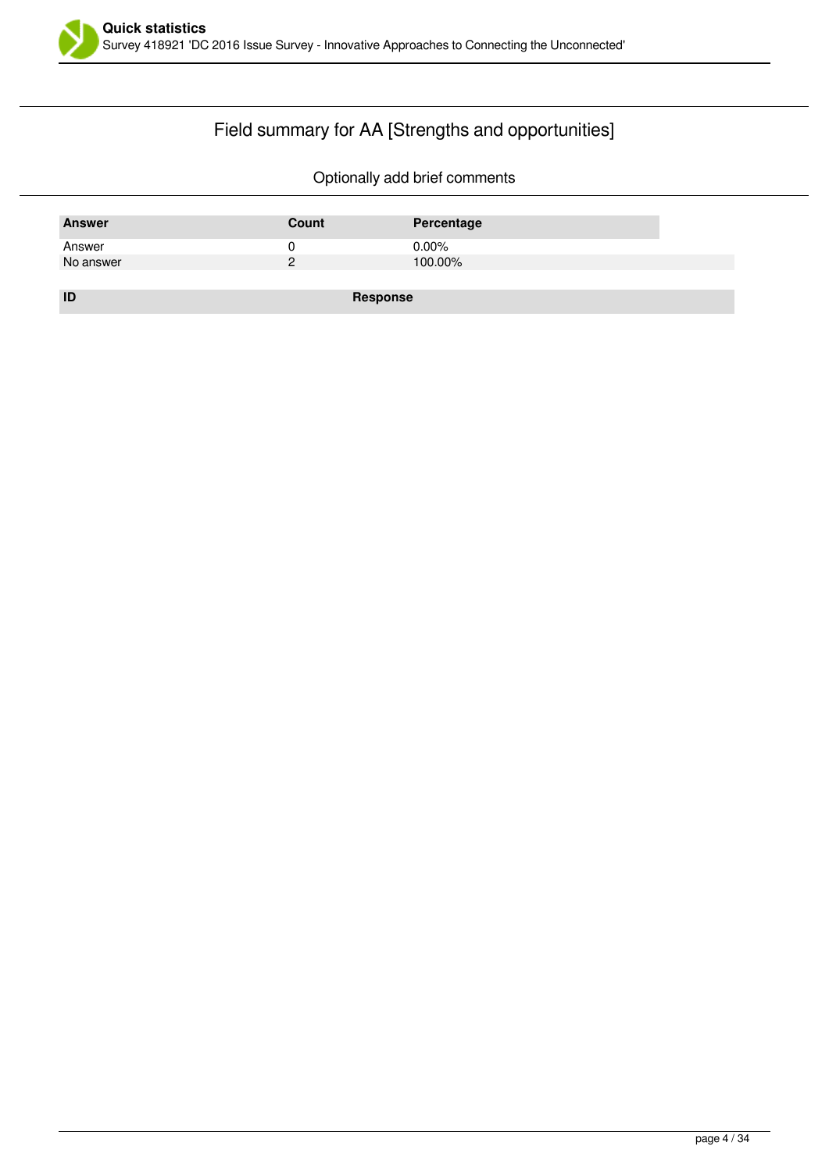

# Field summary for AA [Strengths and opportunities]

| <b>Answer</b> | Count    | Percentage |
|---------------|----------|------------|
| Answer        |          | $0.00\%$   |
| No answer     |          | 100.00%    |
|               |          |            |
| ID            | Response |            |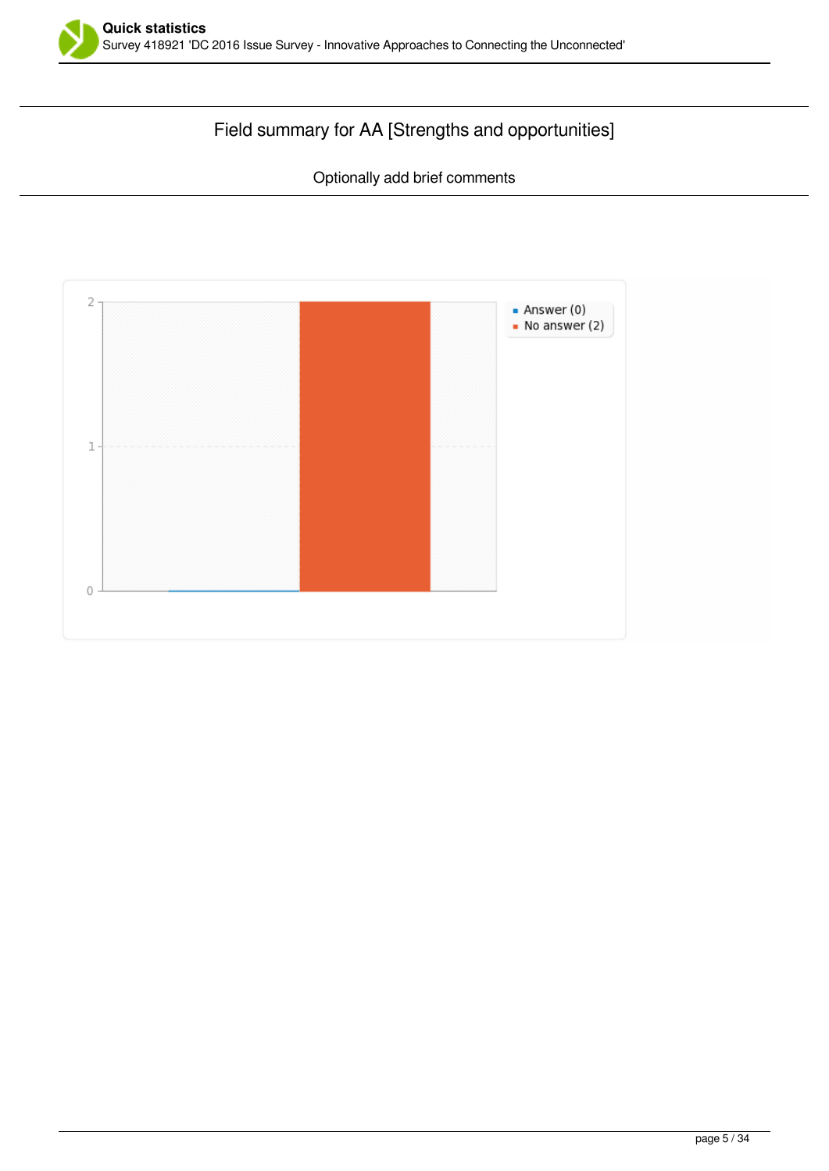

# Field summary for AA [Strengths and opportunities]

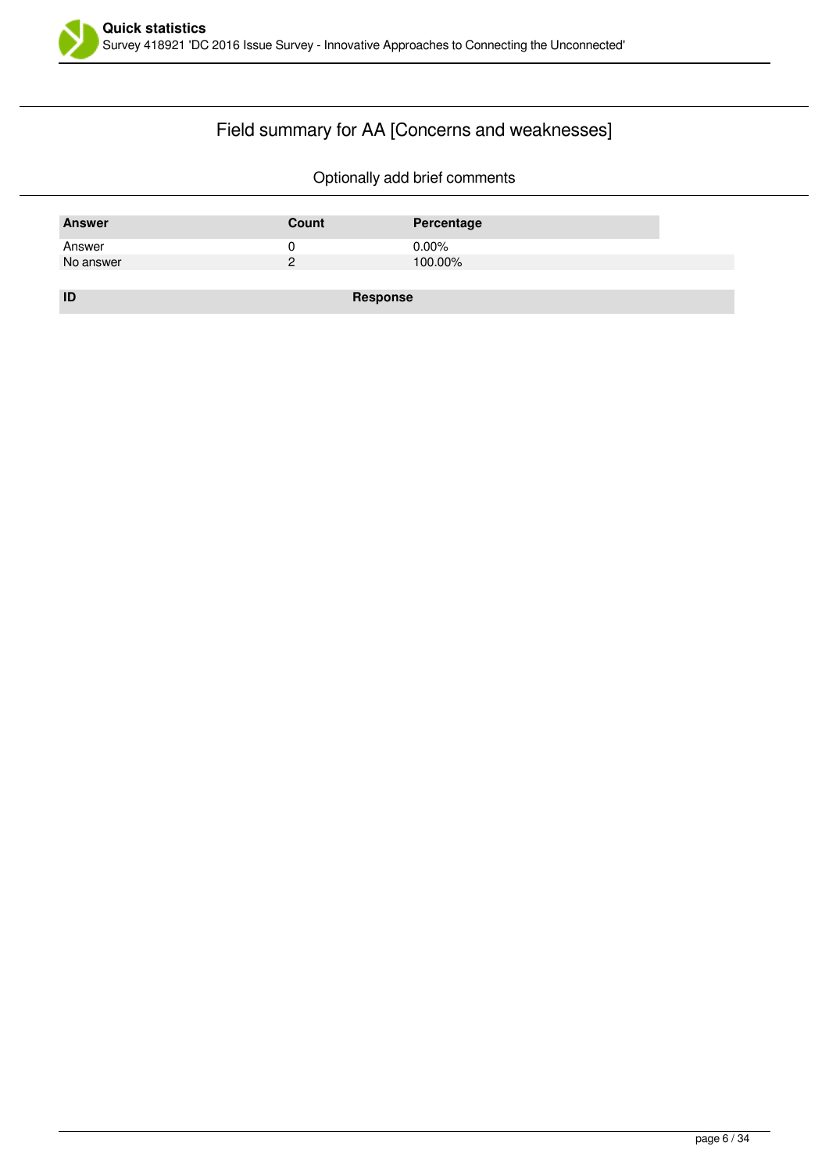

# Field summary for AA [Concerns and weaknesses]

| <b>Answer</b> | Count           | Percentage |
|---------------|-----------------|------------|
| Answer        | U               | $0.00\%$   |
| No answer     | ႒               | 100.00%    |
|               |                 |            |
| ID            | <b>Response</b> |            |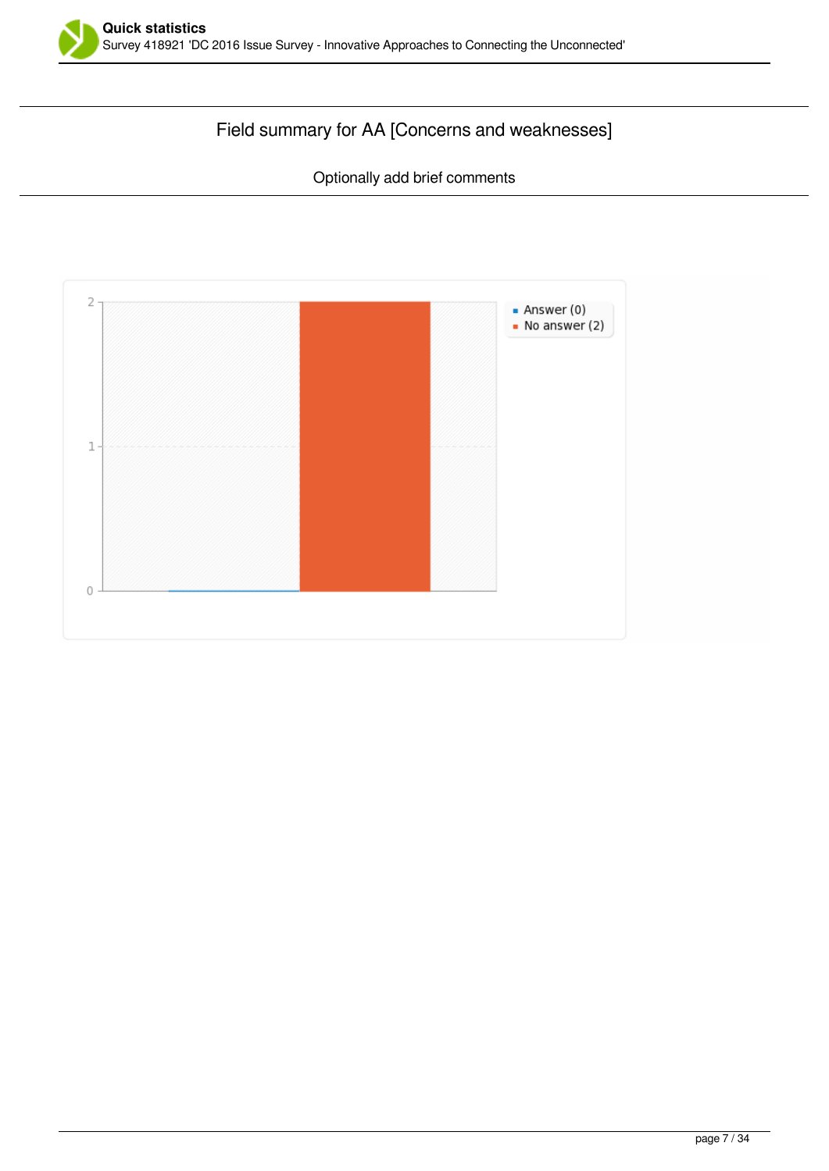

# Field summary for AA [Concerns and weaknesses]

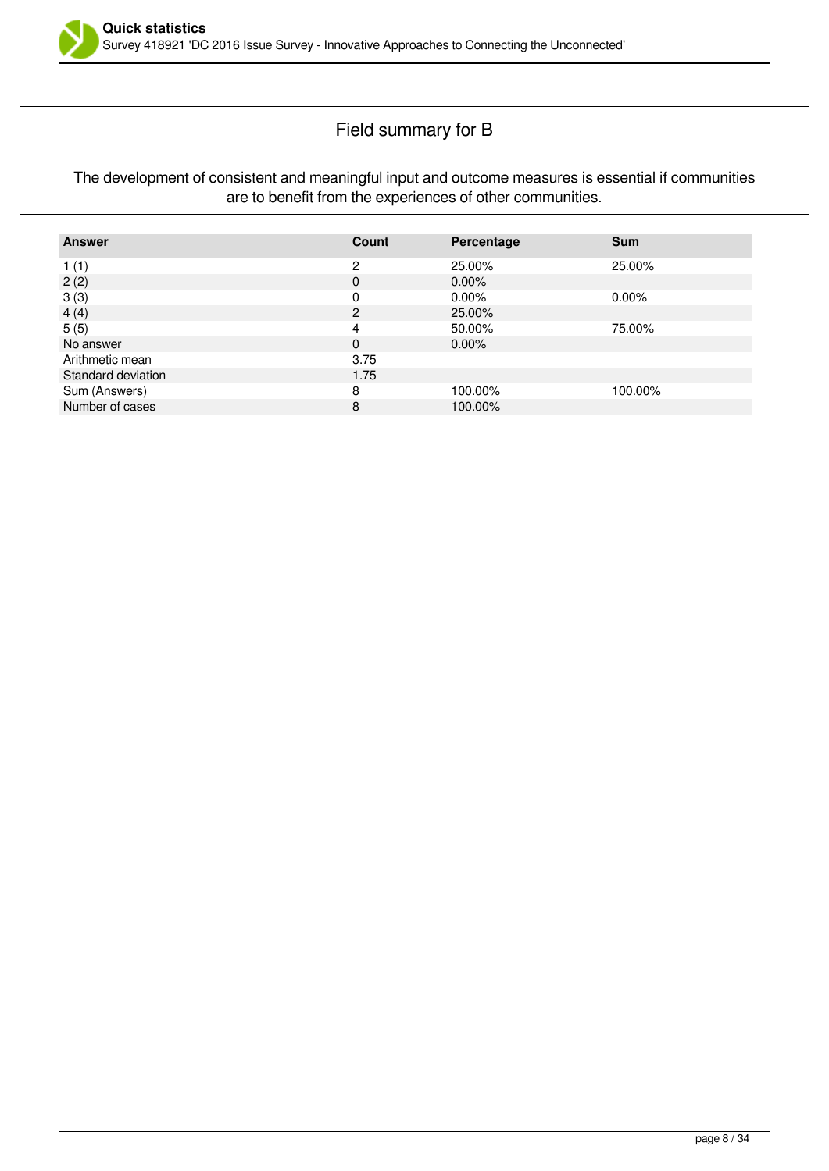

### Field summary for B

#### The development of consistent and meaningful input and outcome measures is essential if communities are to benefit from the experiences of other communities.

| <b>Answer</b>      | Count          | Percentage | <b>Sum</b> |
|--------------------|----------------|------------|------------|
| 1(1)               | 2              | 25.00%     | 25.00%     |
| 2(2)               | 0              | $0.00\%$   |            |
| 3(3)               | 0              | $0.00\%$   | $0.00\%$   |
| 4(4)               | $\overline{2}$ | 25.00%     |            |
| 5(5)               | 4              | 50.00%     | 75.00%     |
| No answer          | 0              | $0.00\%$   |            |
| Arithmetic mean    | 3.75           |            |            |
| Standard deviation | 1.75           |            |            |
| Sum (Answers)      | 8              | 100.00%    | 100.00%    |
| Number of cases    | 8              | 100.00%    |            |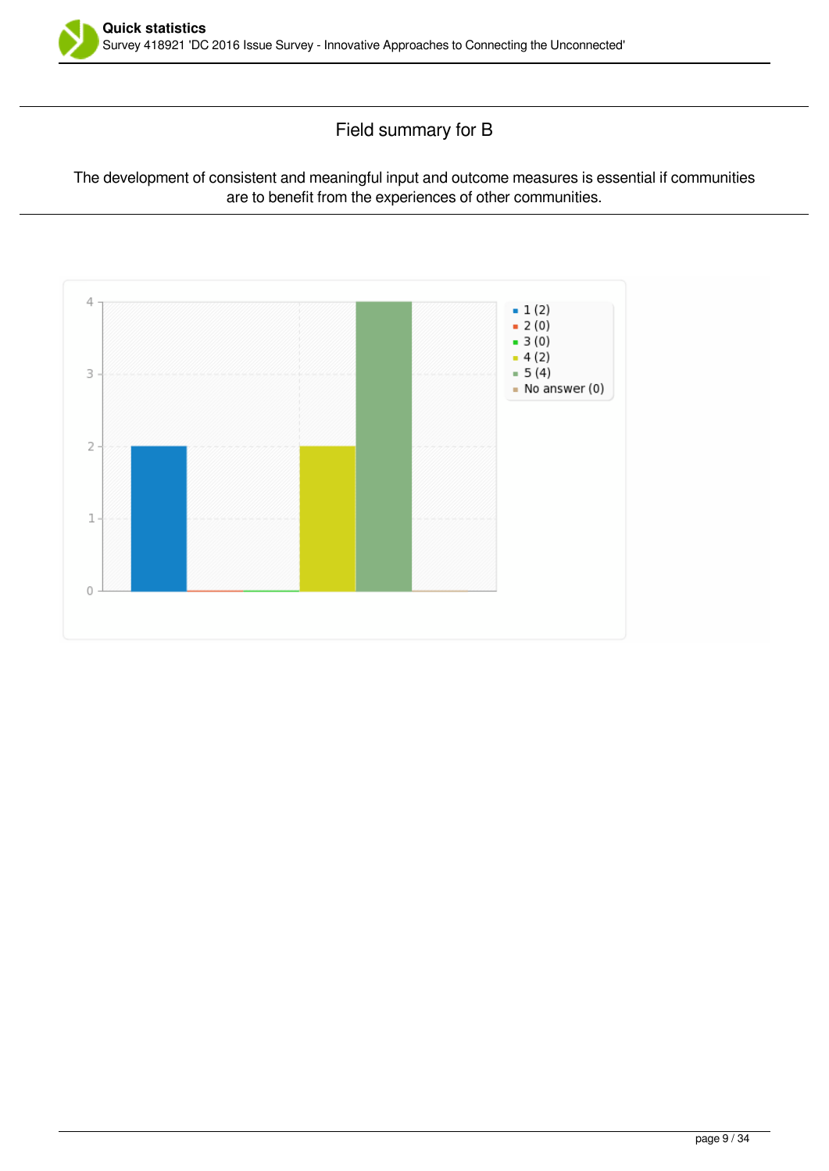

Field summary for B

#### The development of consistent and meaningful input and outcome measures is essential if communities are to benefit from the experiences of other communities.

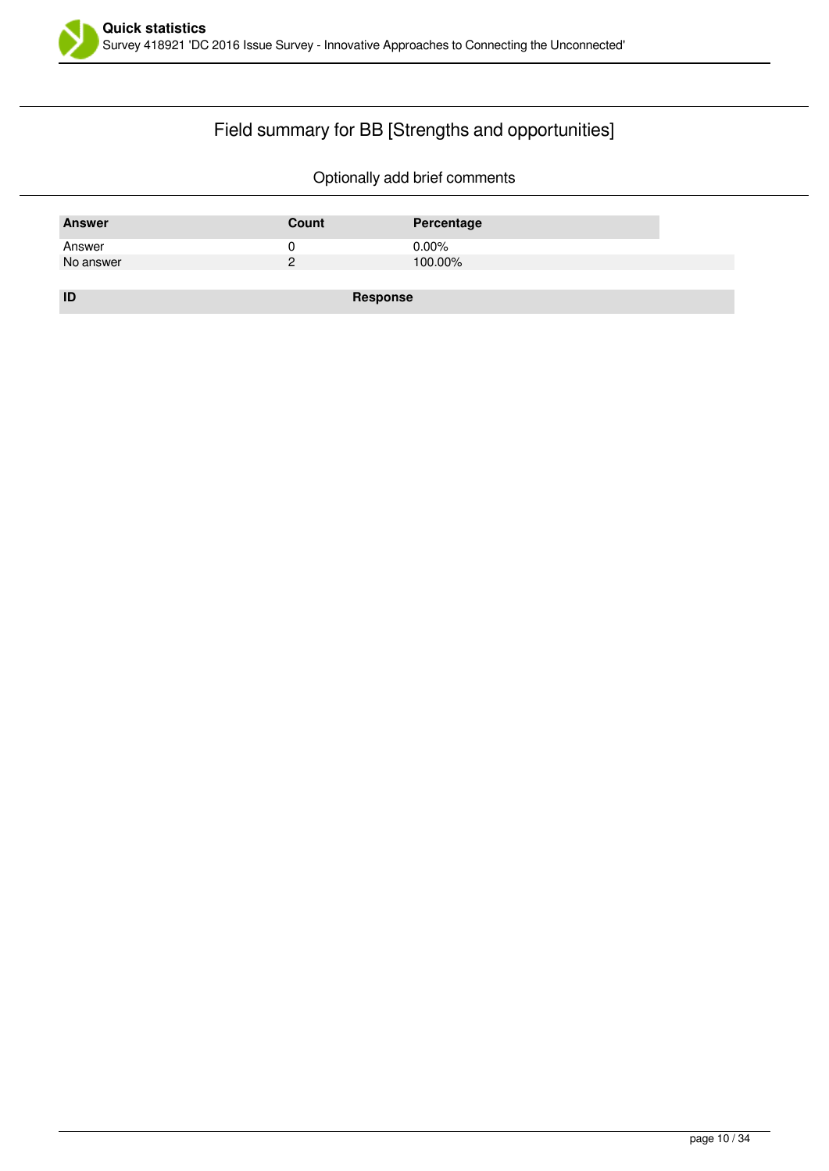

# Field summary for BB [Strengths and opportunities]

| <b>Answer</b> | Count    | Percentage |
|---------------|----------|------------|
| Answer        |          | $0.00\%$   |
| No answer     | っ        | 100.00%    |
|               |          |            |
| ID            | Response |            |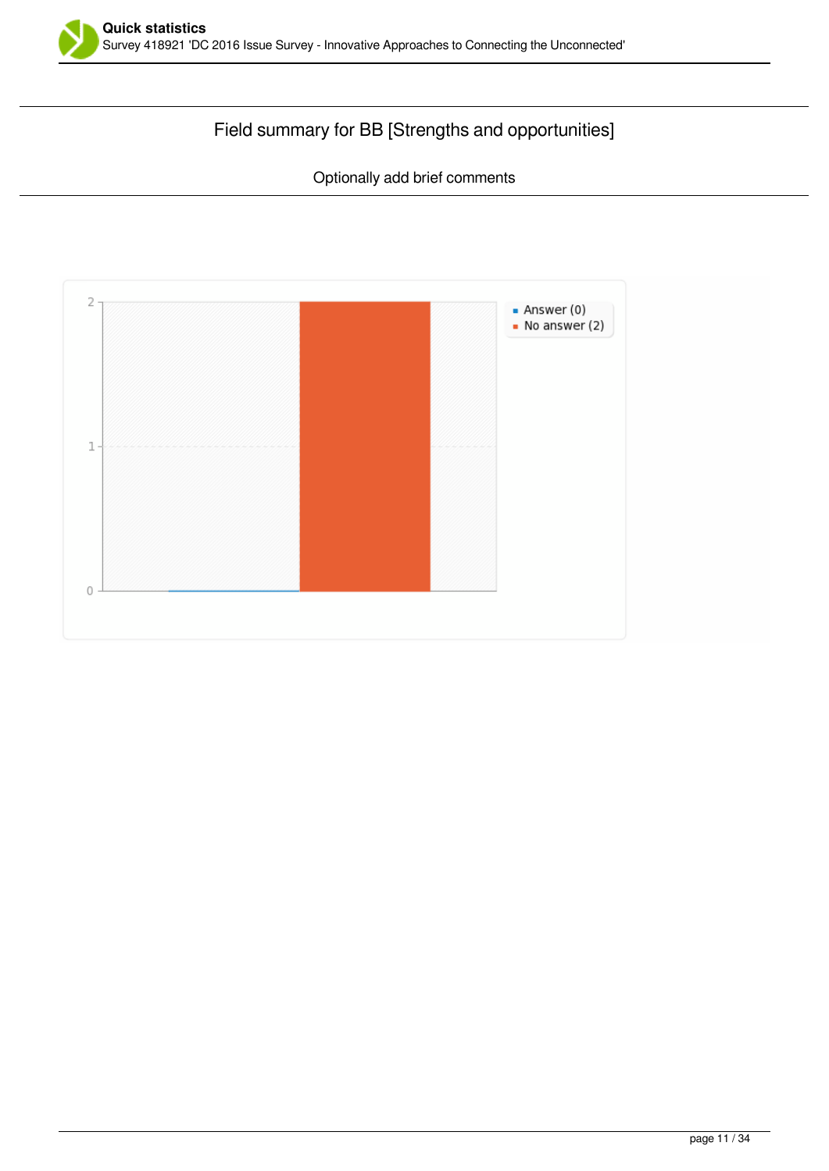

# Field summary for BB [Strengths and opportunities]

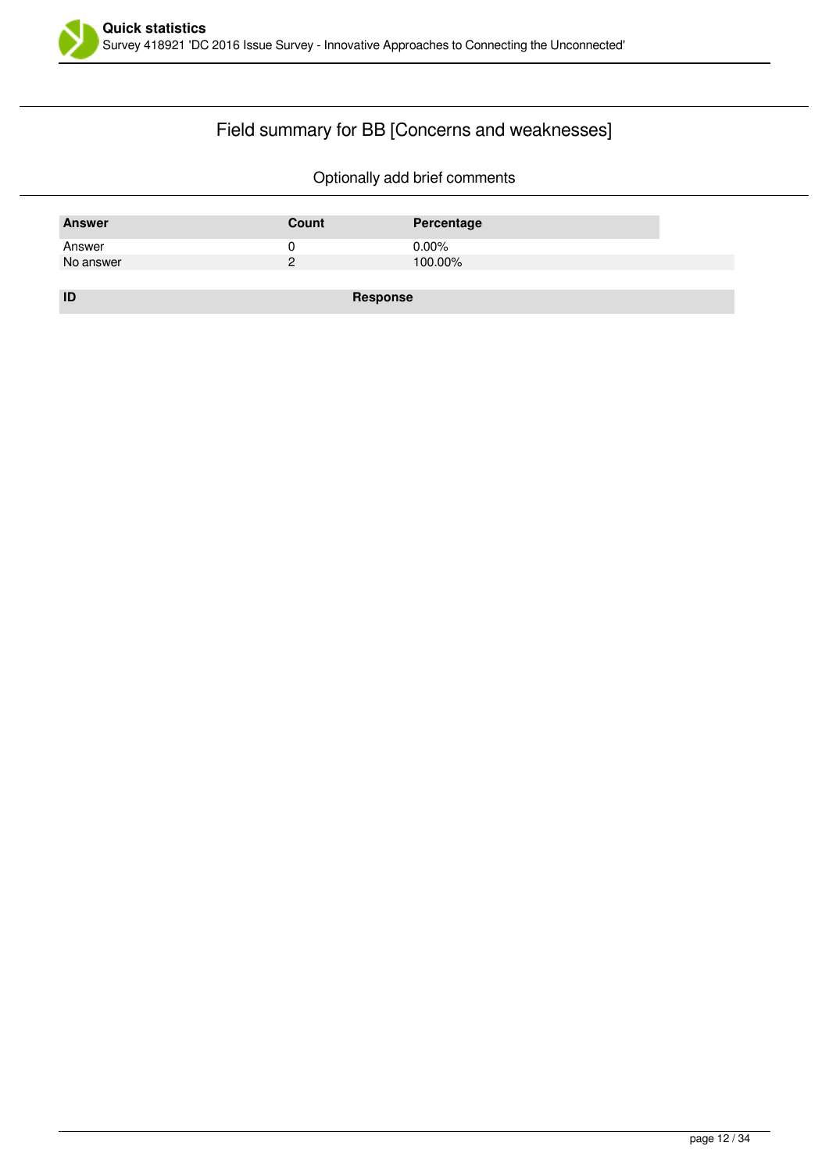

# Field summary for BB [Concerns and weaknesses]

| <b>Answer</b> | Count    | Percentage |
|---------------|----------|------------|
| Answer        |          | $0.00\%$   |
| No answer     |          | 100.00%    |
|               |          |            |
| ID            | Response |            |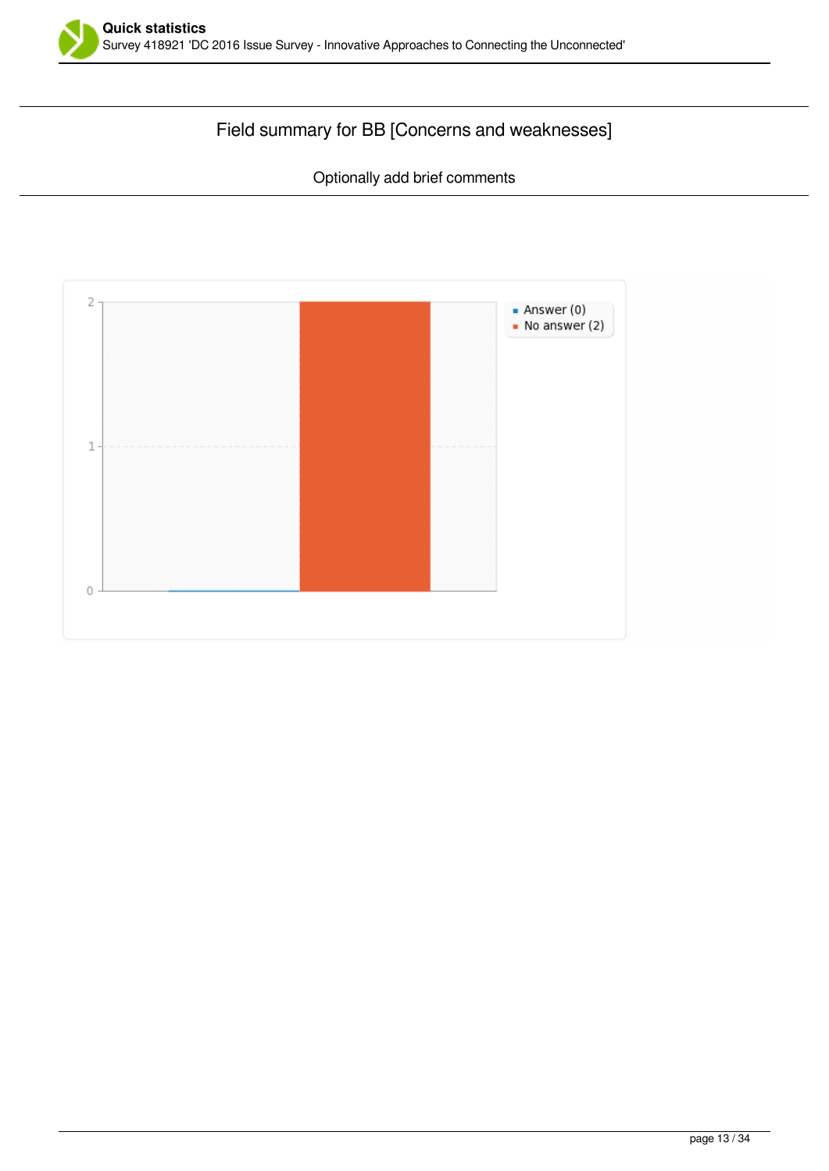

# Field summary for BB [Concerns and weaknesses]

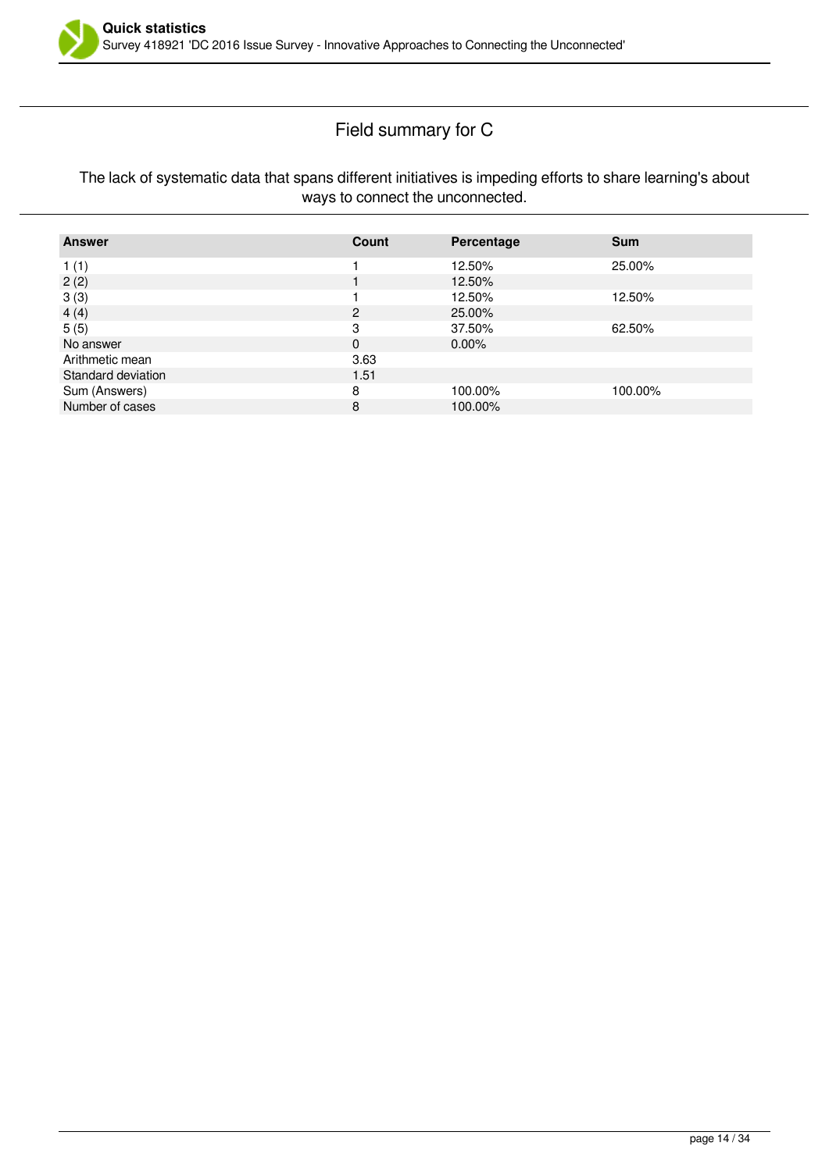

### Field summary for C

#### The lack of systematic data that spans different initiatives is impeding efforts to share learning's about ways to connect the unconnected.

| <b>Answer</b>      | Count         | Percentage | <b>Sum</b> |
|--------------------|---------------|------------|------------|
| 1(1)               |               | 12.50%     | 25.00%     |
| 2(2)               |               | 12.50%     |            |
| 3(3)               |               | 12.50%     | 12.50%     |
| 4(4)               | $\mathcal{P}$ | 25.00%     |            |
| 5(5)               | 3             | 37.50%     | 62.50%     |
| No answer          | 0             | $0.00\%$   |            |
| Arithmetic mean    | 3.63          |            |            |
| Standard deviation | 1.51          |            |            |
| Sum (Answers)      | 8             | 100.00%    | 100.00%    |
| Number of cases    | 8             | 100.00%    |            |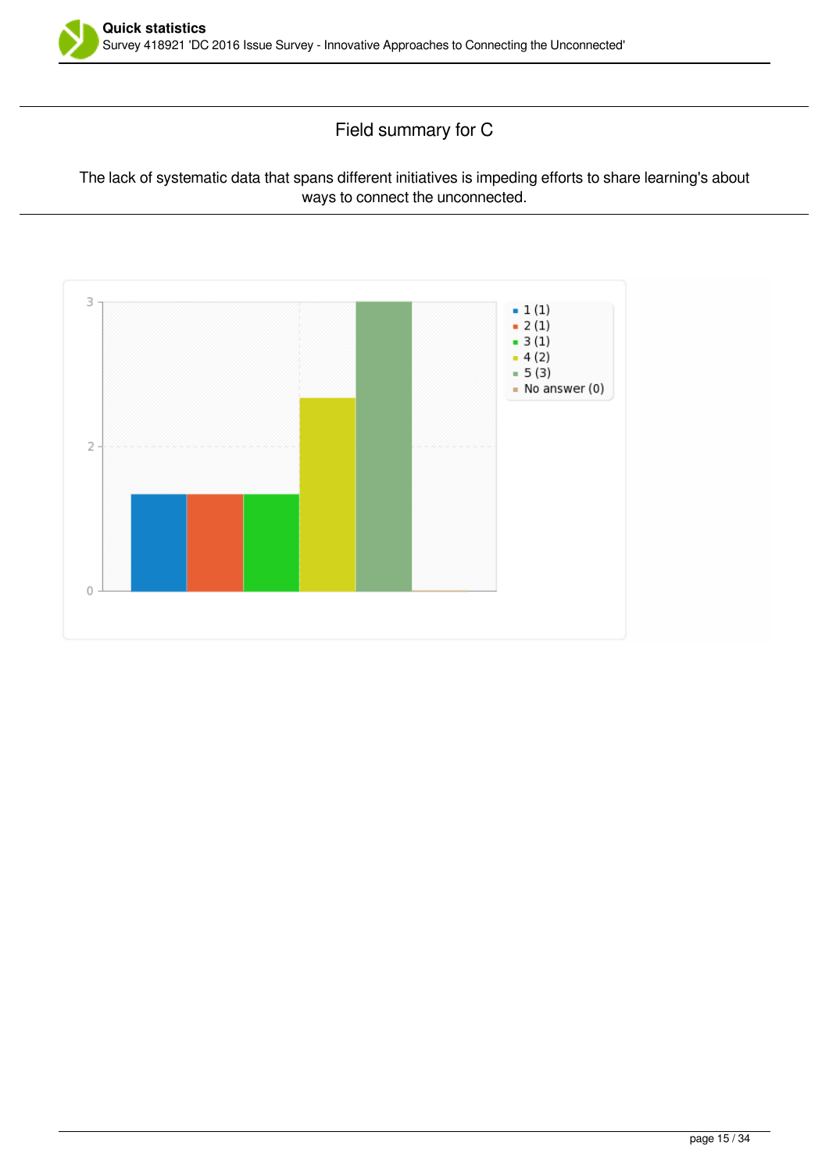

### Field summary for C

#### The lack of systematic data that spans different initiatives is impeding efforts to share learning's about ways to connect the unconnected.

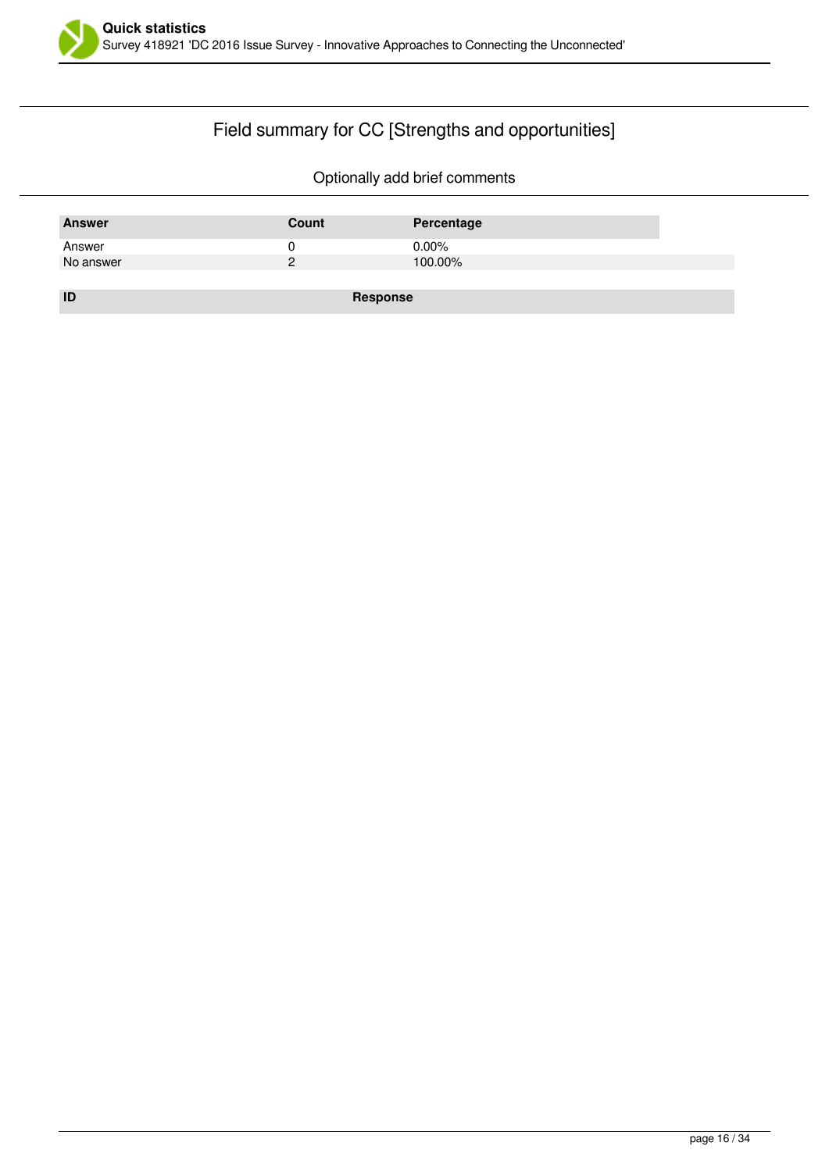

# Field summary for CC [Strengths and opportunities]

| <b>Answer</b> | Count    | Percentage |
|---------------|----------|------------|
| Answer        |          | $0.00\%$   |
| No answer     | っ        | 100.00%    |
|               |          |            |
| ID            | Response |            |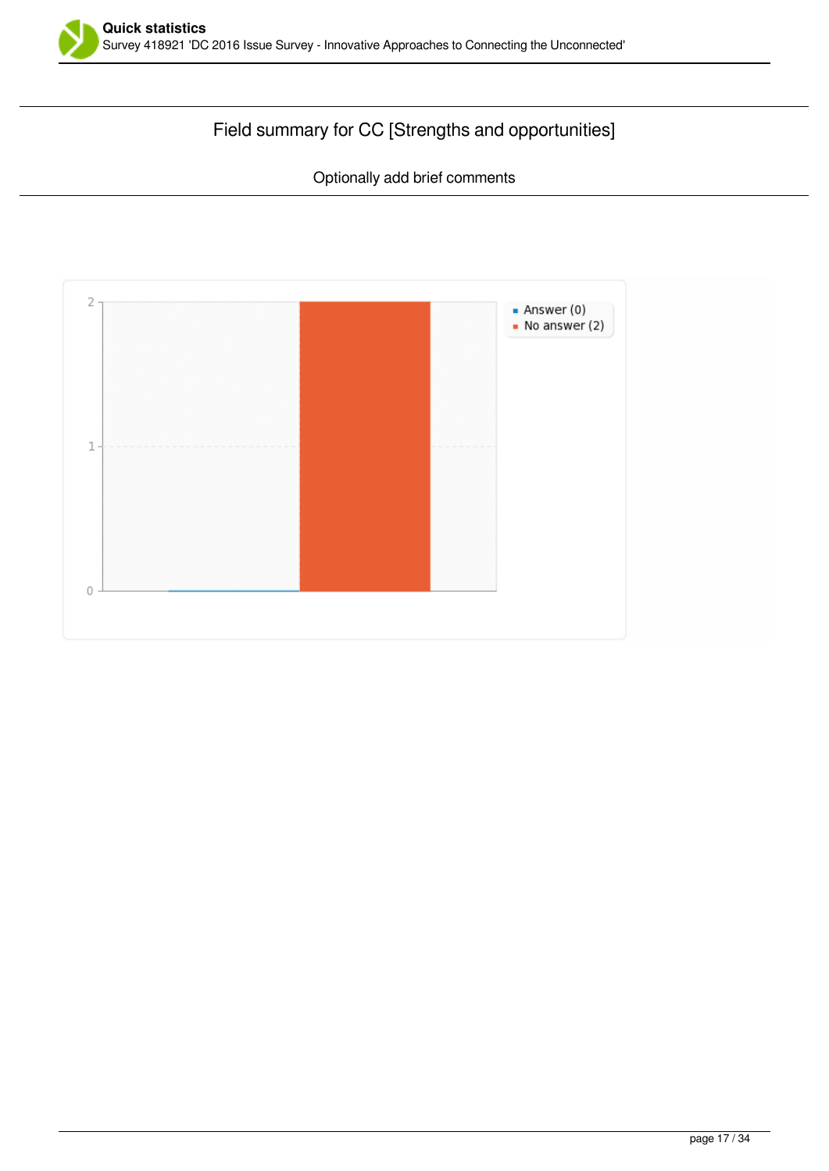

# Field summary for CC [Strengths and opportunities]

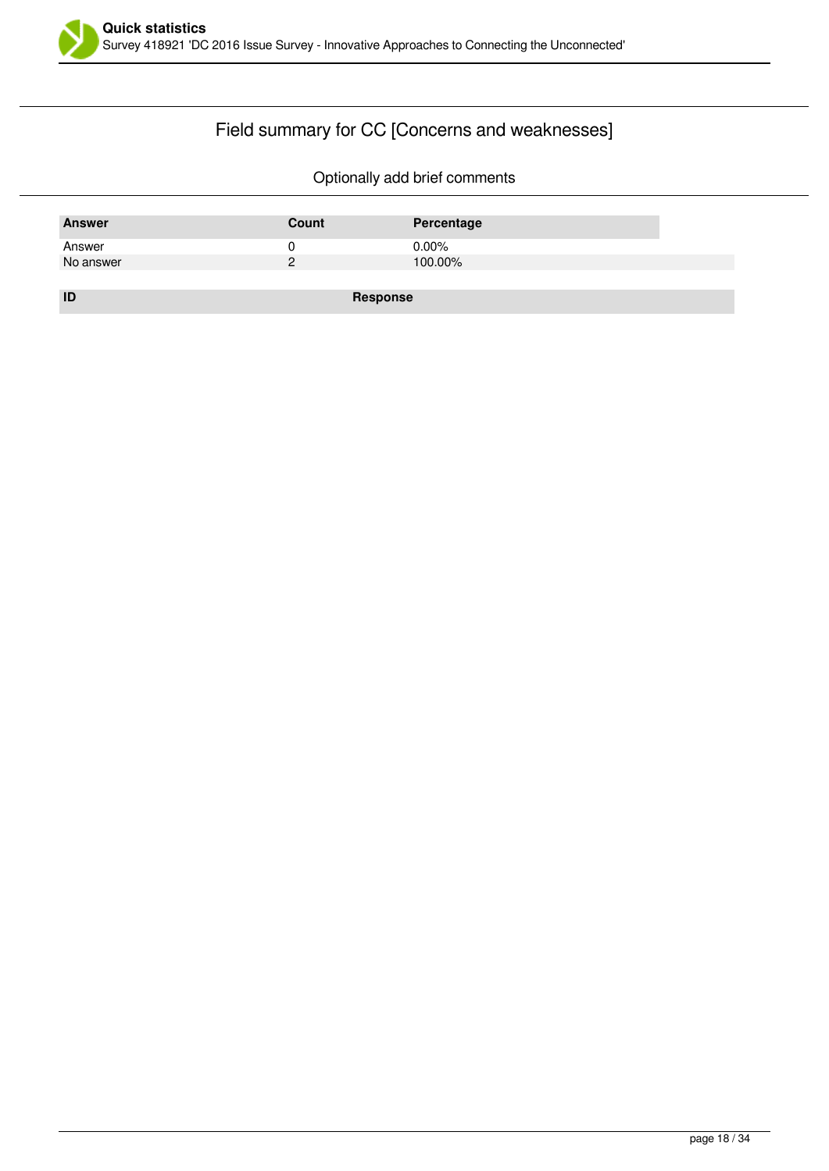

# Field summary for CC [Concerns and weaknesses]

| <b>Answer</b> | Count    | Percentage |
|---------------|----------|------------|
| Answer        |          | $0.00\%$   |
| No answer     |          | 100.00%    |
|               |          |            |
| ID            | Response |            |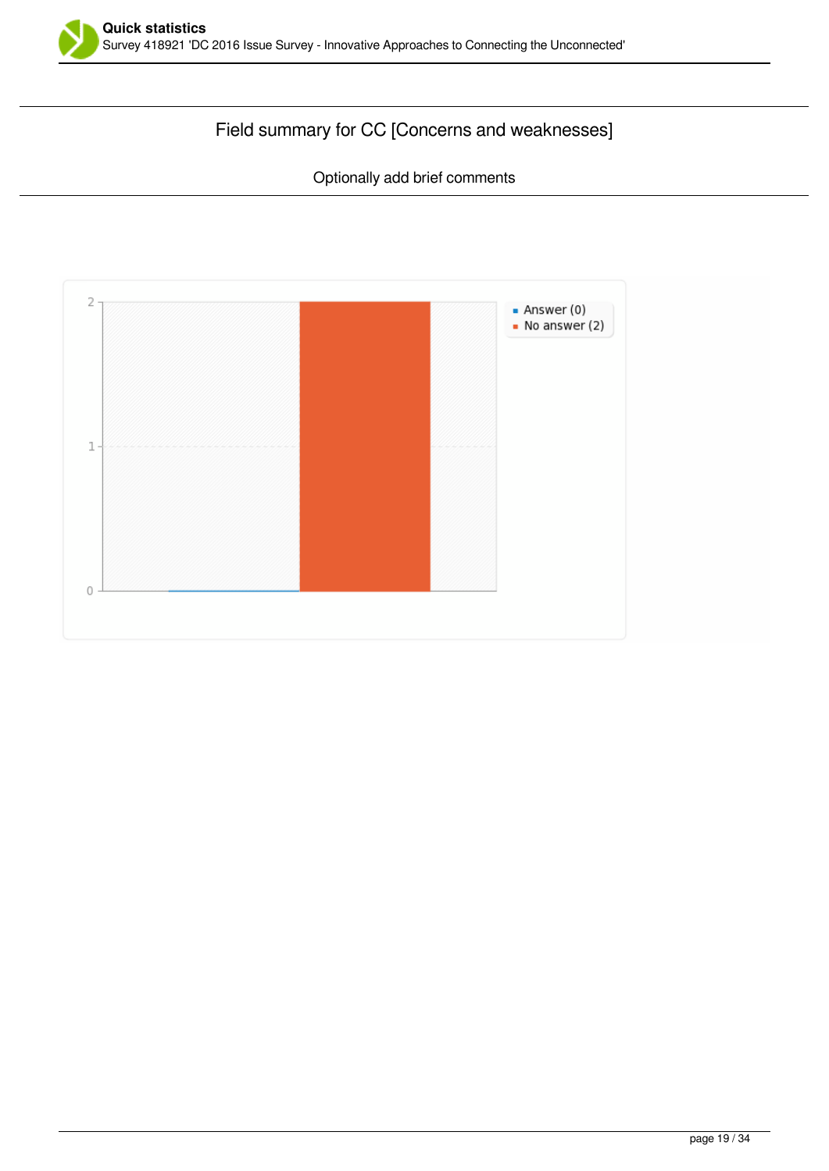

# Field summary for CC [Concerns and weaknesses]

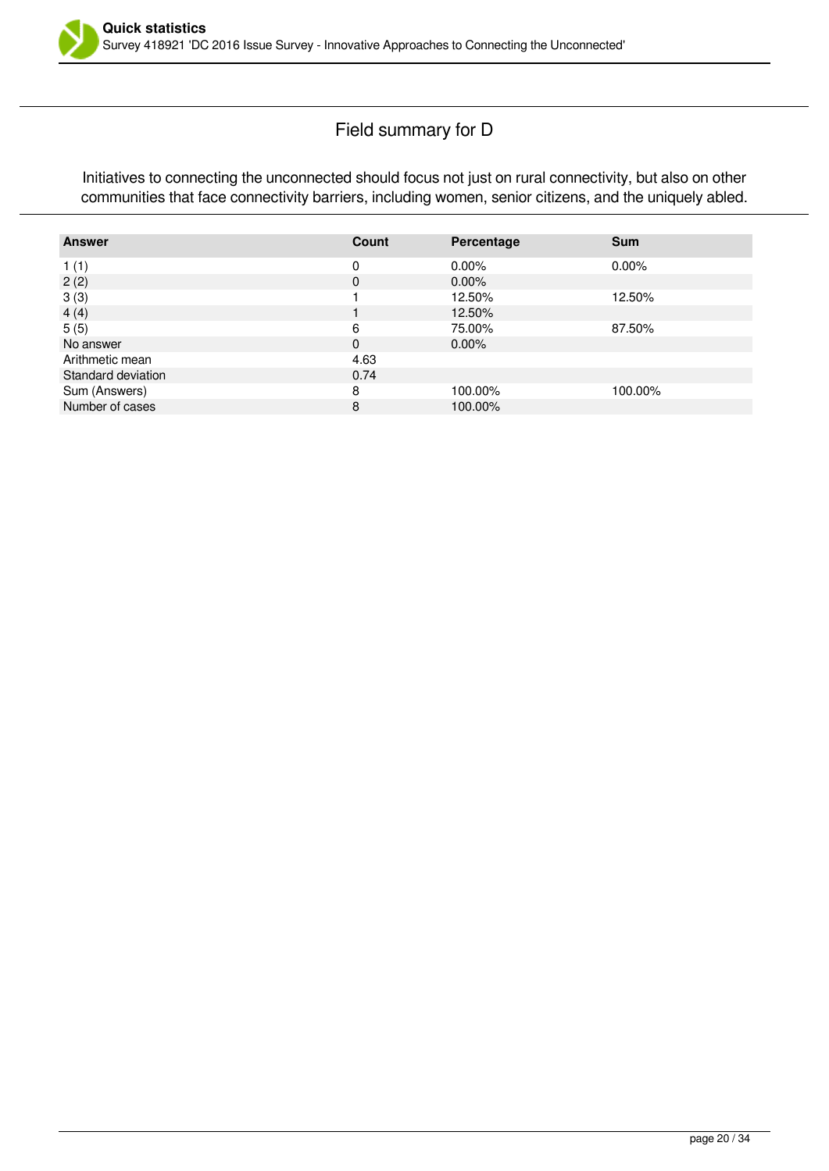

### Field summary for D

Initiatives to connecting the unconnected should focus not just on rural connectivity, but also on other communities that face connectivity barriers, including women, senior citizens, and the uniquely abled.

| <b>Answer</b>      | Count    | Percentage | <b>Sum</b> |
|--------------------|----------|------------|------------|
| 1(1)               | 0        | $0.00\%$   | $0.00\%$   |
| 2(2)               | 0        | $0.00\%$   |            |
| 3(3)               |          | 12.50%     | 12.50%     |
| 4(4)               |          | 12.50%     |            |
| 5(5)               | 6        | 75.00%     | 87.50%     |
| No answer          | $\Omega$ | $0.00\%$   |            |
| Arithmetic mean    | 4.63     |            |            |
| Standard deviation | 0.74     |            |            |
| Sum (Answers)      | 8        | 100.00%    | 100.00%    |
| Number of cases    | 8        | 100.00%    |            |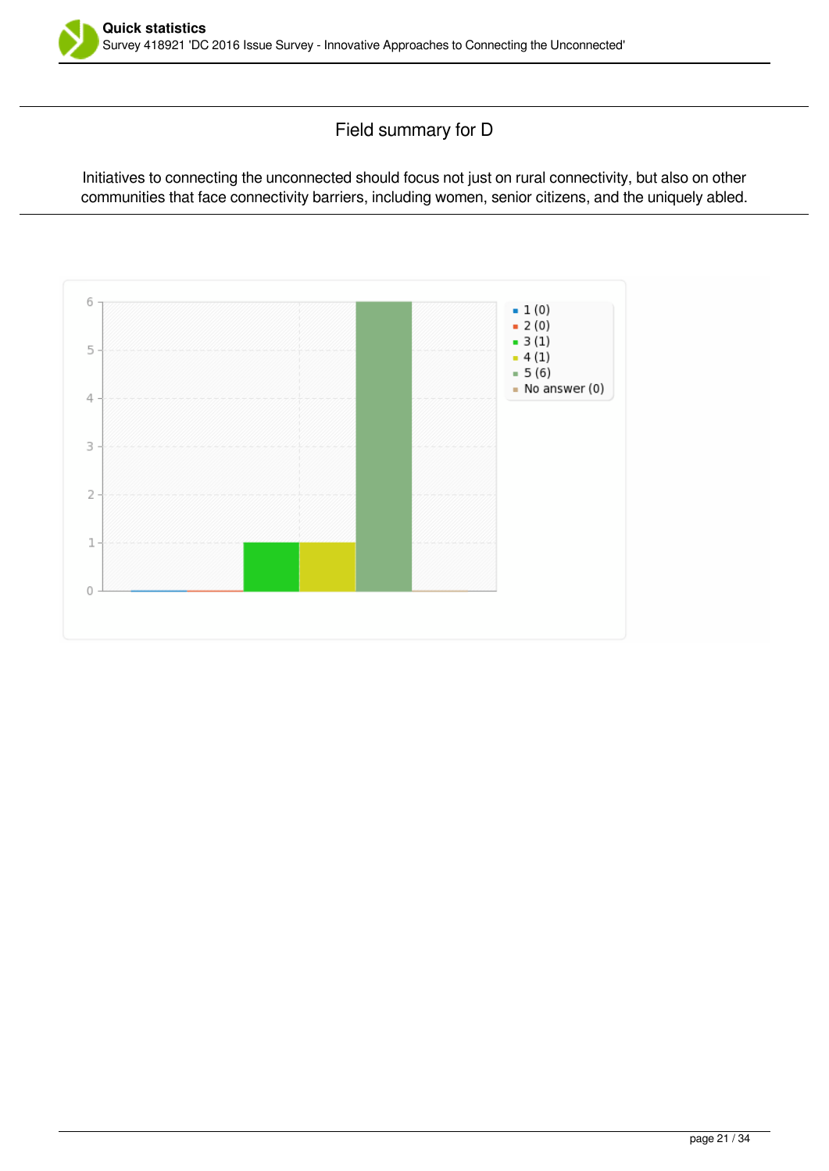

Field summary for D

Initiatives to connecting the unconnected should focus not just on rural connectivity, but also on other communities that face connectivity barriers, including women, senior citizens, and the uniquely abled.

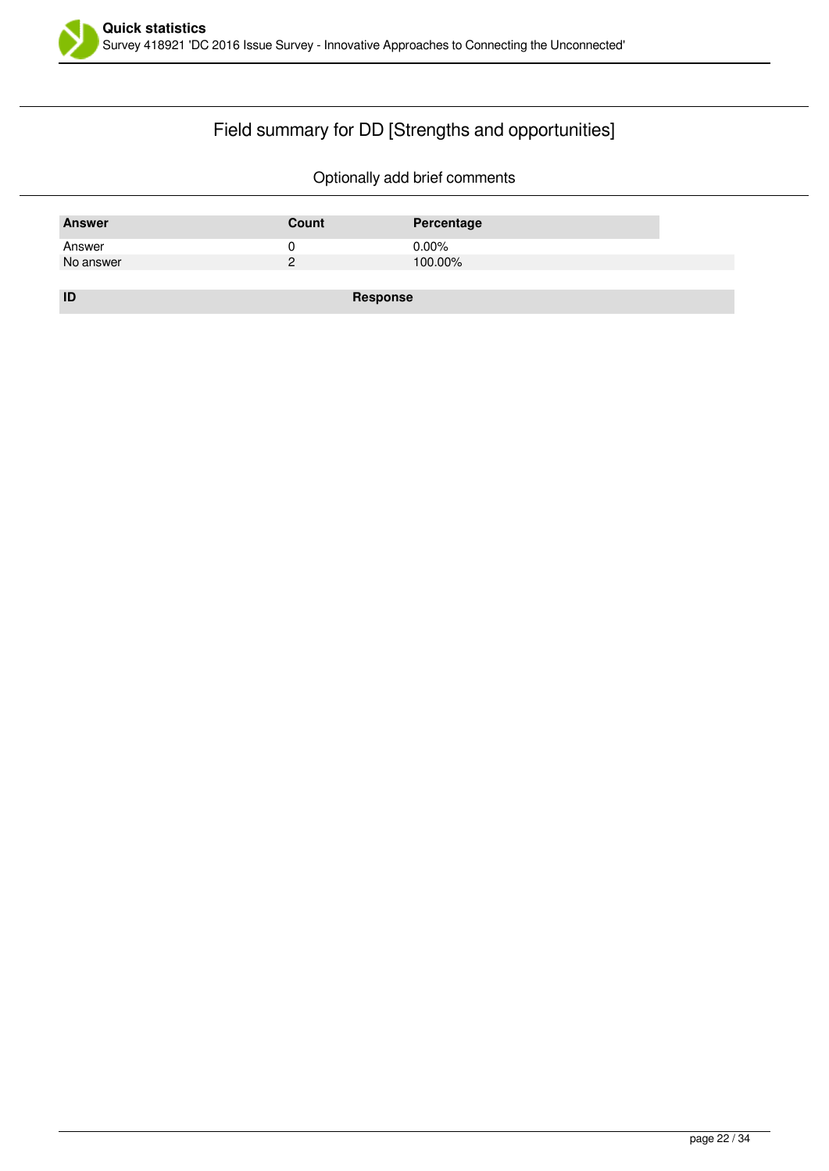

# Field summary for DD [Strengths and opportunities]

| <b>Answer</b> | Count         | Percentage |
|---------------|---------------|------------|
| Answer        |               | $0.00\%$   |
| No answer     | $\mathcal{D}$ | 100.00%    |
|               |               |            |
| ID            | Response      |            |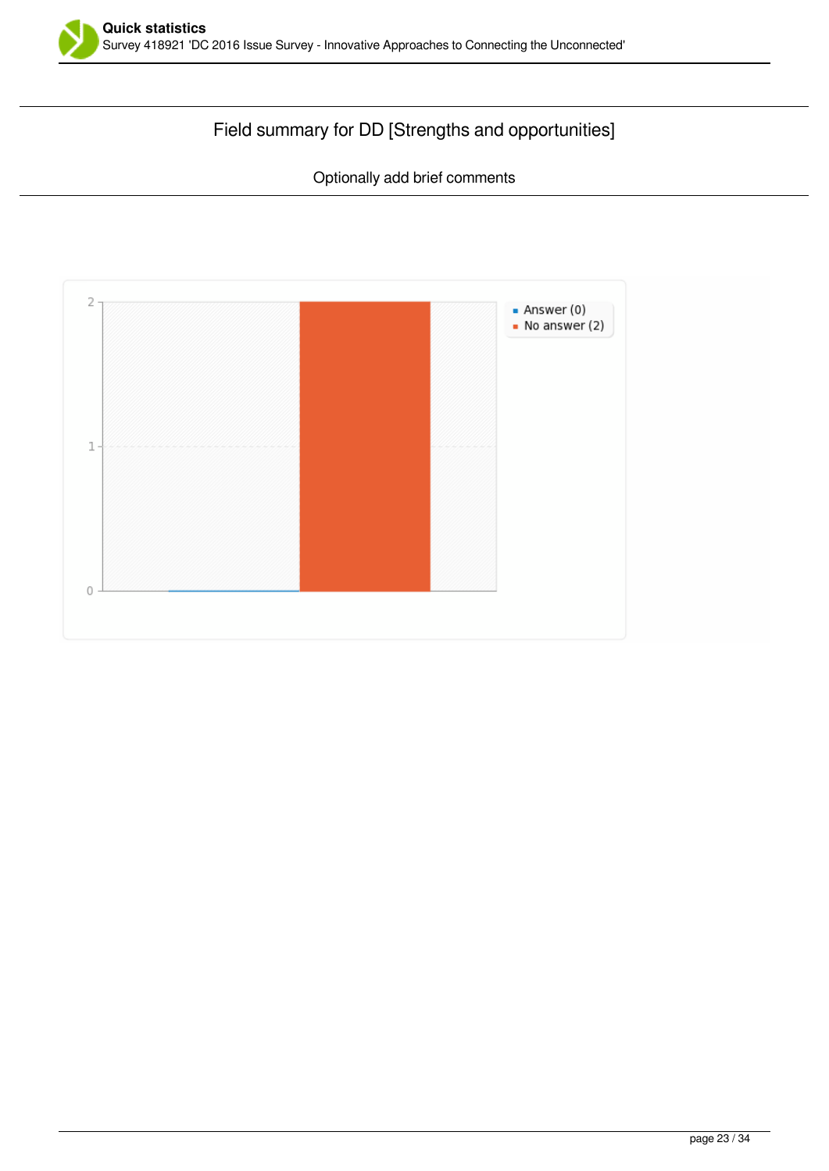

# Field summary for DD [Strengths and opportunities]

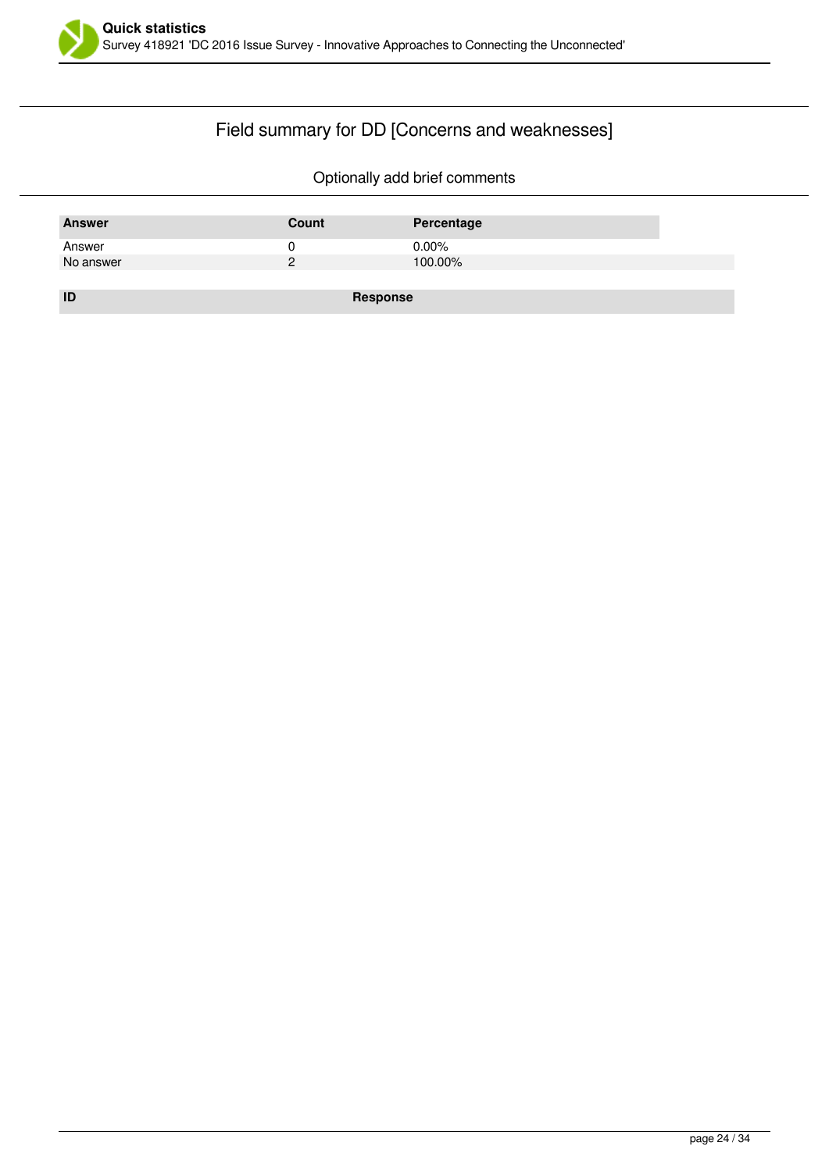

# Field summary for DD [Concerns and weaknesses]

| <b>Answer</b> | Count    | Percentage |
|---------------|----------|------------|
| Answer        |          | $0.00\%$   |
| No answer     |          | 100.00%    |
|               |          |            |
| ID            | Response |            |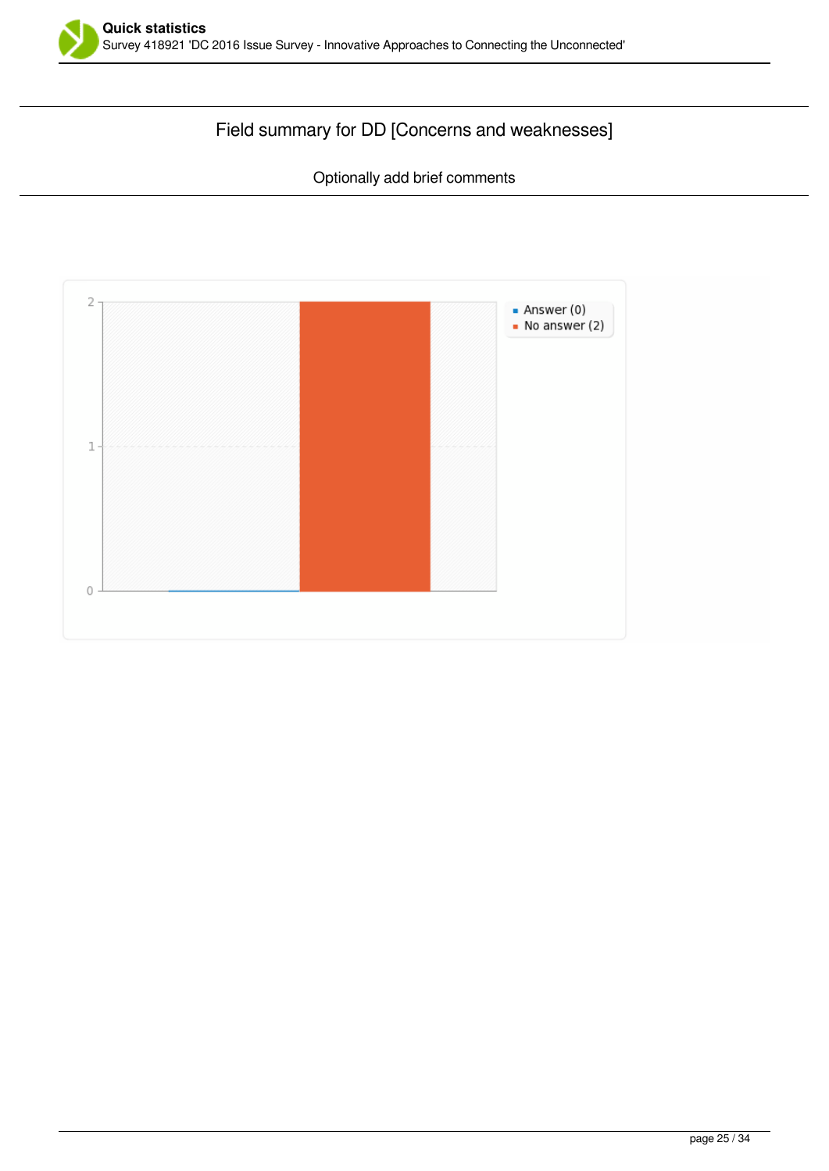

# Field summary for DD [Concerns and weaknesses]

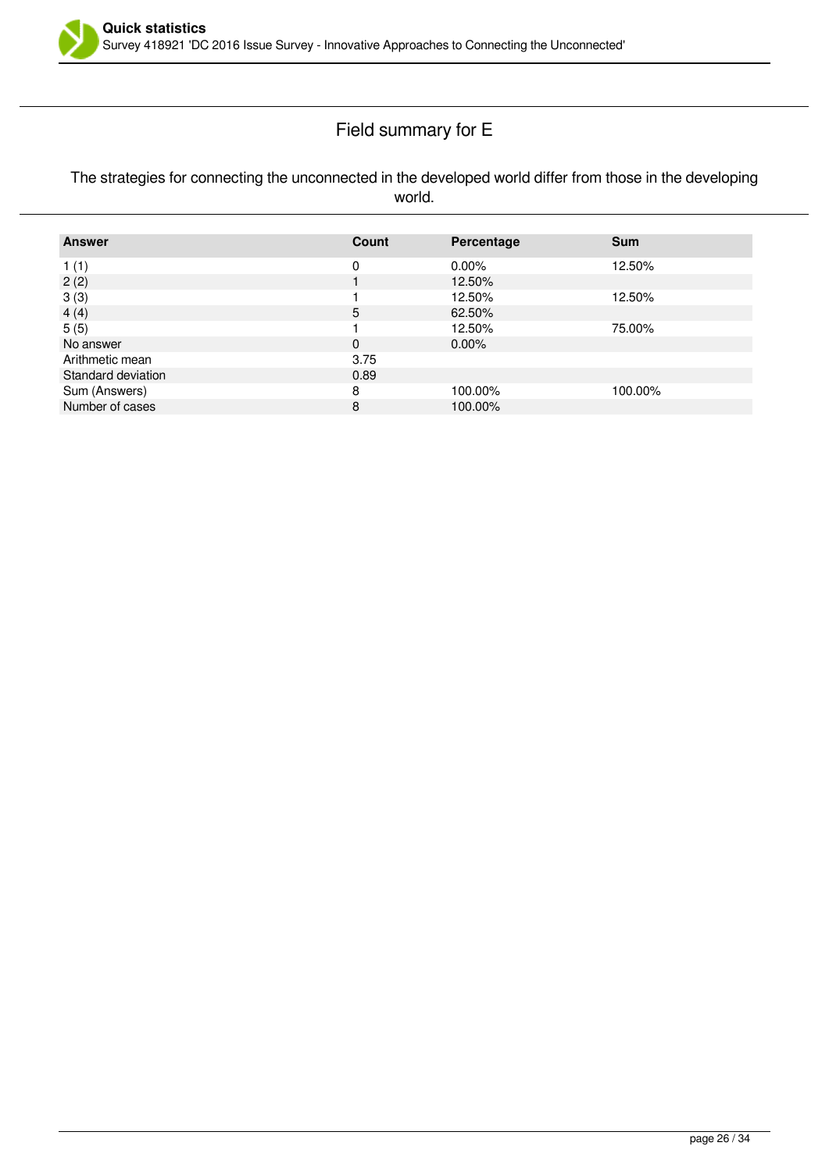

# Field summary for E

#### The strategies for connecting the unconnected in the developed world differ from those in the developing world.

| <b>Answer</b>      | Count | Percentage | <b>Sum</b> |
|--------------------|-------|------------|------------|
| 1(1)               | 0     | $0.00\%$   | 12.50%     |
| 2(2)               |       | 12.50%     |            |
| 3(3)               |       | 12.50%     | 12.50%     |
| 4(4)               | 5     | 62.50%     |            |
| 5(5)               |       | 12.50%     | 75.00%     |
| No answer          | 0     | $0.00\%$   |            |
| Arithmetic mean    | 3.75  |            |            |
| Standard deviation | 0.89  |            |            |
| Sum (Answers)      | 8     | 100.00%    | 100.00%    |
| Number of cases    | 8     | 100.00%    |            |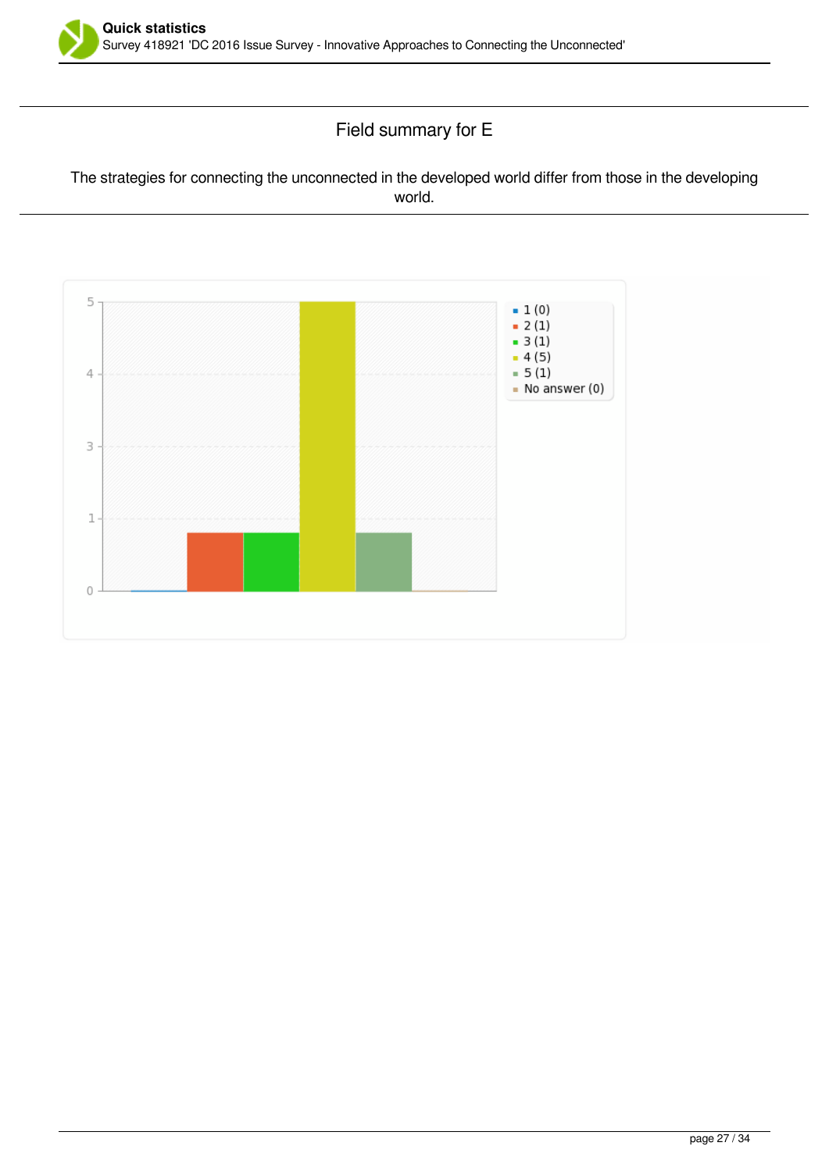

# Field summary for E

#### The strategies for connecting the unconnected in the developed world differ from those in the developing world.

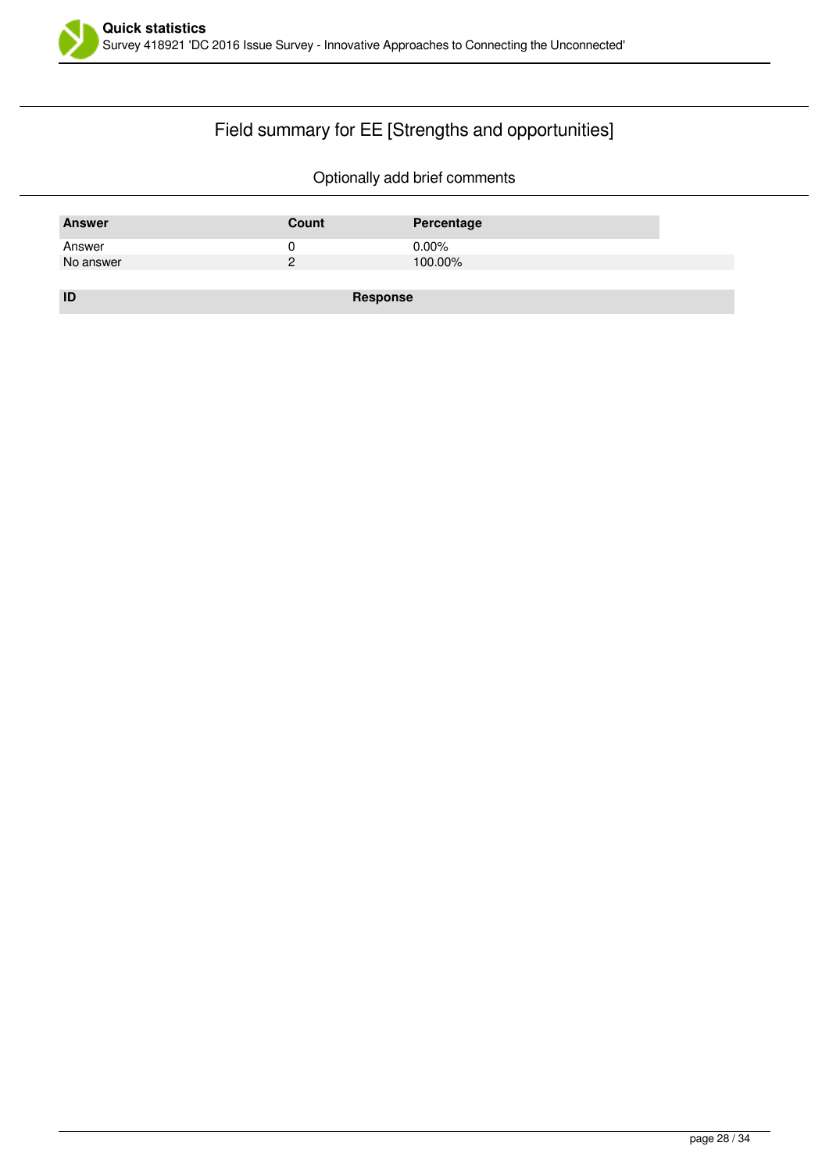

# Field summary for EE [Strengths and opportunities]

| <b>Answer</b> | Count    | Percentage |
|---------------|----------|------------|
| Answer        |          | $0.00\%$   |
| No answer     | ົ        | 100.00%    |
|               |          |            |
| ID            | Response |            |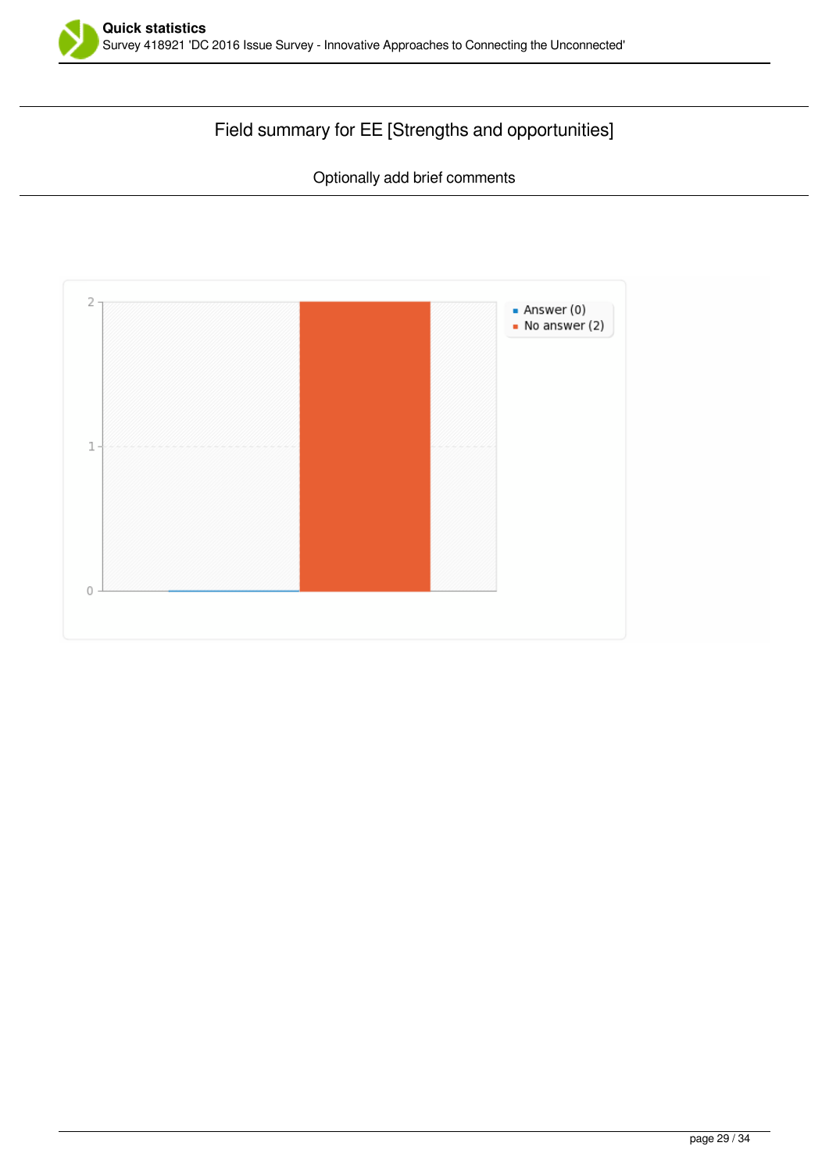

# Field summary for EE [Strengths and opportunities]

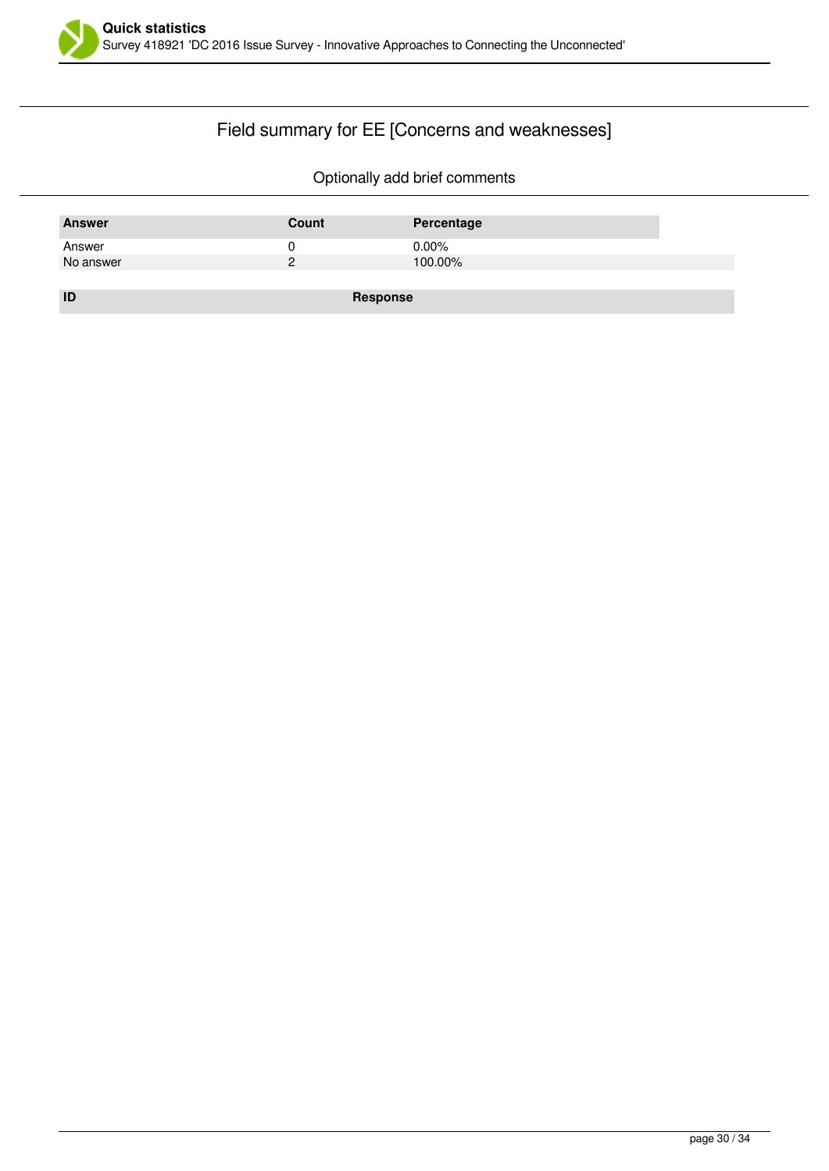

# Field summary for EE [Concerns and weaknesses]

| <b>Answer</b> | Count    | Percentage |
|---------------|----------|------------|
| Answer        |          | $0.00\%$   |
| No answer     |          | 100.00%    |
|               |          |            |
| ID            | Response |            |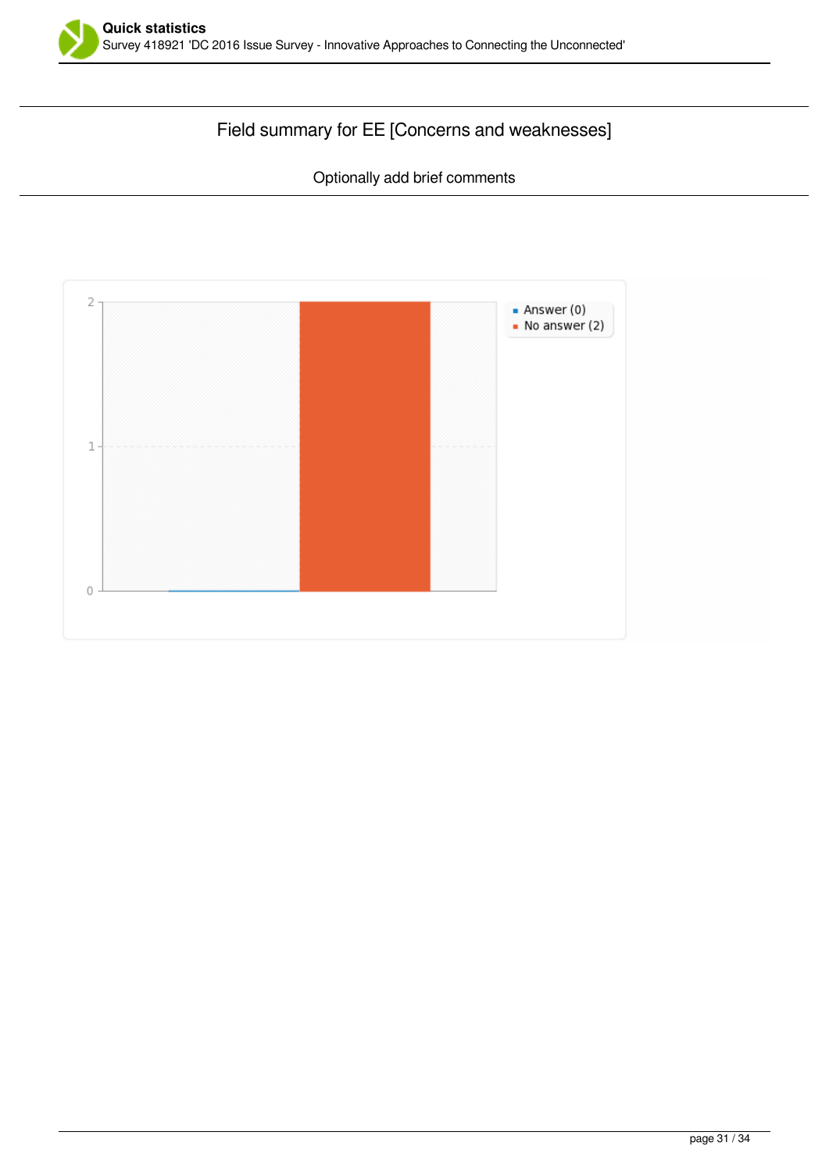

# Field summary for EE [Concerns and weaknesses]

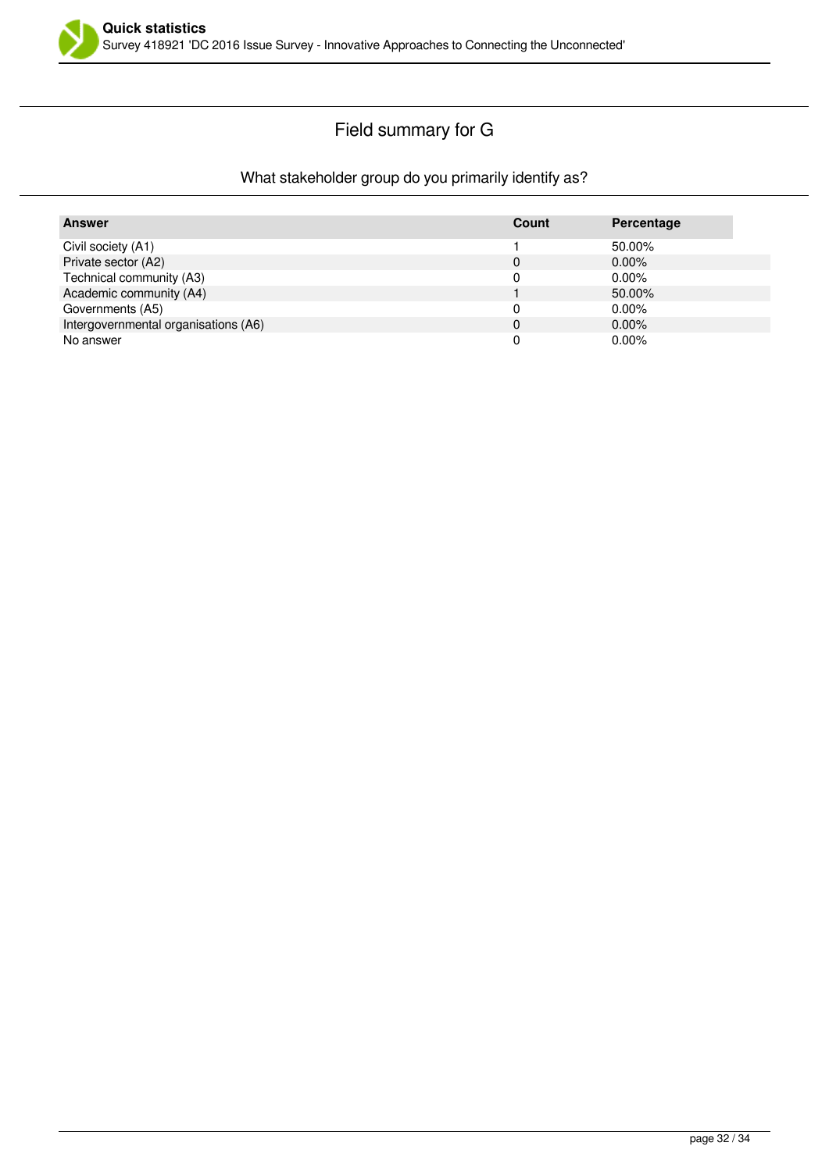

# Field summary for G

#### What stakeholder group do you primarily identify as?

| <b>Answer</b>                        | Count        | Percentage |
|--------------------------------------|--------------|------------|
| Civil society (A1)                   |              | 50.00%     |
| Private sector (A2)                  | 0            | $0.00\%$   |
| Technical community (A3)             |              | $0.00\%$   |
| Academic community (A4)              |              | 50.00%     |
| Governments (A5)                     |              | $0.00\%$   |
| Intergovernmental organisations (A6) | $\mathbf{0}$ | $0.00\%$   |
| No answer                            |              | $0.00\%$   |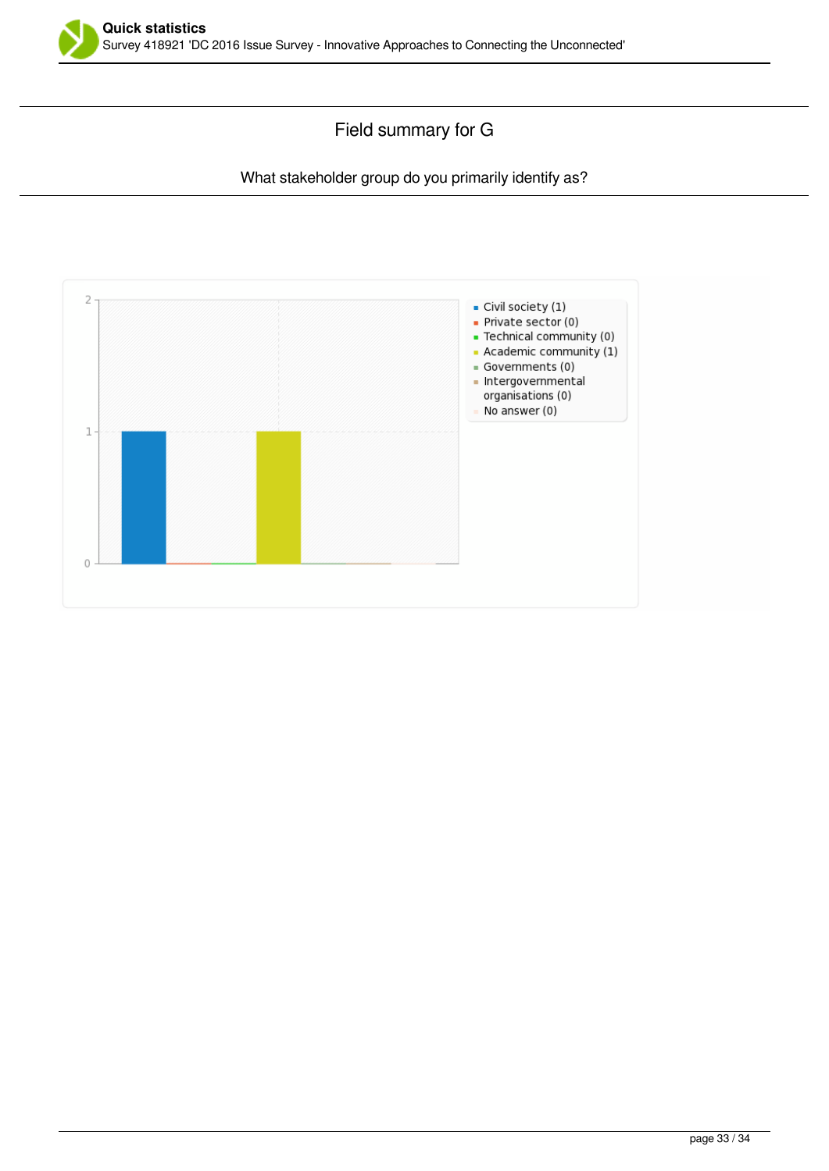

### Field summary for G

#### What stakeholder group do you primarily identify as?